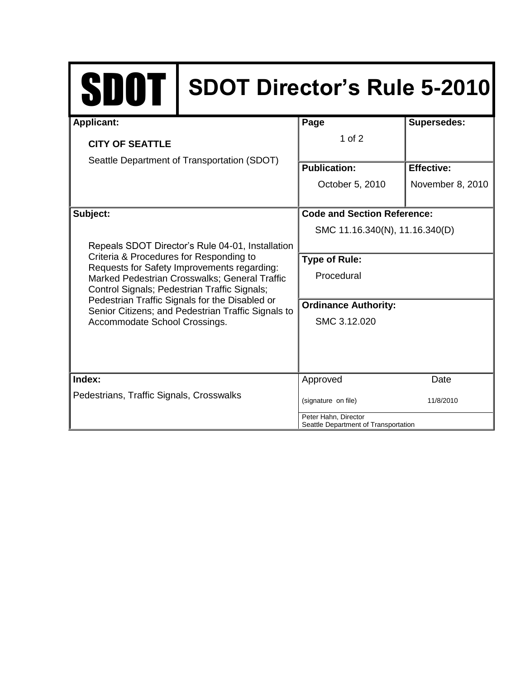| <b>SDOT</b>                                                                                                                                                                                                                                                                                                                                                                                      | <b>SDOT Director's Rule 5-2010</b> |                                                              |                    |
|--------------------------------------------------------------------------------------------------------------------------------------------------------------------------------------------------------------------------------------------------------------------------------------------------------------------------------------------------------------------------------------------------|------------------------------------|--------------------------------------------------------------|--------------------|
| <b>Applicant:</b>                                                                                                                                                                                                                                                                                                                                                                                |                                    | Page                                                         | <b>Supersedes:</b> |
| <b>CITY OF SEATTLE</b><br>Seattle Department of Transportation (SDOT)                                                                                                                                                                                                                                                                                                                            |                                    | $1$ of $2$                                                   |                    |
|                                                                                                                                                                                                                                                                                                                                                                                                  |                                    |                                                              |                    |
|                                                                                                                                                                                                                                                                                                                                                                                                  |                                    | <b>Publication:</b>                                          | <b>Effective:</b>  |
|                                                                                                                                                                                                                                                                                                                                                                                                  |                                    | October 5, 2010                                              | November 8, 2010   |
| Subject:<br>Repeals SDOT Director's Rule 04-01, Installation<br>Criteria & Procedures for Responding to<br>Requests for Safety Improvements regarding:<br>Marked Pedestrian Crosswalks; General Traffic<br>Control Signals; Pedestrian Traffic Signals;<br>Pedestrian Traffic Signals for the Disabled or<br>Senior Citizens; and Pedestrian Traffic Signals to<br>Accommodate School Crossings. |                                    | <b>Code and Section Reference:</b>                           |                    |
|                                                                                                                                                                                                                                                                                                                                                                                                  |                                    | SMC 11.16.340(N), 11.16.340(D)                               |                    |
|                                                                                                                                                                                                                                                                                                                                                                                                  |                                    |                                                              |                    |
|                                                                                                                                                                                                                                                                                                                                                                                                  |                                    | <b>Type of Rule:</b>                                         |                    |
|                                                                                                                                                                                                                                                                                                                                                                                                  |                                    | Procedural                                                   |                    |
|                                                                                                                                                                                                                                                                                                                                                                                                  |                                    |                                                              |                    |
|                                                                                                                                                                                                                                                                                                                                                                                                  |                                    | <b>Ordinance Authority:</b>                                  |                    |
|                                                                                                                                                                                                                                                                                                                                                                                                  |                                    | SMC 3.12.020                                                 |                    |
|                                                                                                                                                                                                                                                                                                                                                                                                  |                                    |                                                              |                    |
|                                                                                                                                                                                                                                                                                                                                                                                                  |                                    |                                                              |                    |
| Index:                                                                                                                                                                                                                                                                                                                                                                                           |                                    |                                                              | Date               |
| Pedestrians, Traffic Signals, Crosswalks                                                                                                                                                                                                                                                                                                                                                         |                                    | (signature on file)                                          | 11/8/2010          |
|                                                                                                                                                                                                                                                                                                                                                                                                  |                                    | Peter Hahn, Director<br>Seattle Department of Transportation |                    |